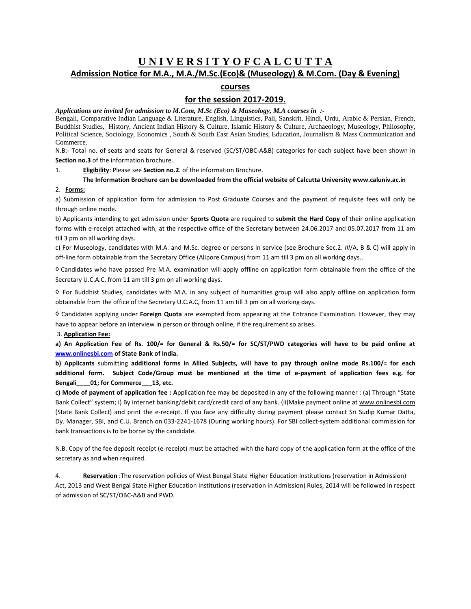# **U N I V E R S I T Y O F C A L C U T T A Admission Notice for M.A., M.A./M.Sc.(Eco)& (Museology) & M.Com. (Day & Evening)**

# **courses**

# **for the session 2017-2019.**

*Applications are invited for admission to M.Com, M.Sc (Eco) & Museology, M.A courses in :-*

Bengali, Comparative Indian Language & Literature, English, Linguistics, Pali, Sanskrit, Hindi, Urdu, Arabic & Persian, French, Buddhist Studies, History, Ancient Indian History & Culture, Islamic History & Culture, Archaeology, Museology, Philosophy, Political Science, Sociology, Economics , South & South East Asian Studies, Education, Journalism & Mass Communication and Commerce.

N.B:- Total no. of seats and seats for General & reserved (SC/ST/OBC-A&B) categories for each subject have been shown in **Section no.3** of the information brochure.

1. **Eligibility**: Please see **Section no.2**. of the information Brochure.

### **The Information Brochure can be downloaded from the official website of Calcutta University www[.caluniv.ac.in](http://www.caluniv.ac.in/)**

#### 2. **Forms:**

a) Submission of application form for admission to Post Graduate Courses and the payment of requisite fees will only be through online mode.

b) Applicants intending to get admission under **Sports Quota** are required to **submit the Hard Copy** of their online application forms with e-receipt attached with, at the respective office of the Secretary between 24.06.2017 and 05.07.2017 from 11 am till 3 pm on all working days.

c) For Museology, candidates with M.A. and M.Sc. degree or persons in service (see Brochure Sec.2. *III*/A, B & C) will apply in off-line form obtainable from the Secretary Office (Alipore Campus) from 11 am till 3 pm on all working days..

◊ Candidates who have passed Pre M.A. examination will apply offline on application form obtainable from the office of the Secretary U.C.A.C, from 11 am till 3 pm on all working days.

◊ For Buddhist Studies, candidates with M.A. in any subject of humanities group will also apply offline on application form obtainable from the office of the Secretary U.C.A.C, from 11 am till 3 pm on all working days.

◊ Candidates applying under **Foreign Quota** are exempted from appearing at the Entrance Examination. However, they may have to appear before an interview in person or through online, if the requirement so arises.

#### 3. **Application Fee:**

**a) An Application Fee of Rs. 100/= for General & Rs.50/= for SC/ST/PWD categories will have to be paid online at [www.onlinesbi.com](http://www.onlinesbi.com/) of State Bank of India.** 

**b) Applicants** submitting **additional forms in Allied Subjects, will have to pay through online mode Rs.100/= for each additional form. Subject Code/Group must be mentioned at the time of e-payment of application fees e.g. for Bengali\_\_\_\_01; for Commerce\_\_\_13, etc.** 

**c) Mode of payment of application fee : A**pplication fee may be deposited in any of the following manner : (a) Through "State Bank Collect" system; i) By internet banking/debit card/credit card of any bank. (ii)Make payment online a[t www.onlinesbi.com](http://www.onlinesbi.com/) (State Bank Collect) and print the e-receipt. If you face any difficulty during payment please contact Sri Sudip Kumar Datta, Dy. Manager, SBI, and C.U. Branch on 033-2241-1678 (During working hours). For SBI collect-system additional commission for bank transactions is to be borne by the candidate.

N.B. Copy of the fee deposit receipt (e-receipt) must be attached with the hard copy of the application form at the office of the secretary as and when required.

4. **Reservation** :The reservation policies of West Bengal State Higher Education Institutions (reservation in Admission) Act, 2013 and West Bengal State Higher Education Institutions (reservation in Admission) Rules, 2014 will be followed in respect of admission of SC/ST/OBC-A&B and PWD.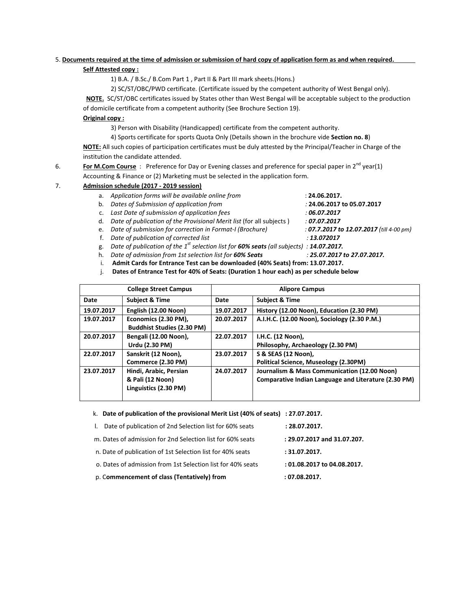# 5. **Documents required at the time of admission or submission of hard copy of application form as and when required.**

## **Self Attested copy :**

1) B.A. / B.Sc./ B.Com Part 1 , Part II & Part III mark sheets.(Hons.)

2) SC/ST/OBC/PWD certificate. (Certificate issued by the competent authority of West Bengal only).

 **NOTE.** SC/ST/OBC certificates issued by States other than West Bengal will be acceptable subject to the production of domicile certificate from a competent authority (See Brochure Section 19).

# **Original copy :**

3) Person with Disability (Handicapped) certificate from the competent authority.

4) Sports certificate for sports Quota Only (Details shown in the brochure vide **Section no. 8**)

**NOTE:** All such copies of participation certificates must be duly attested by the Principal/Teacher in Charge of the institution the candidate attended.

6. **For M.Com Course** : Preference for Day or Evening classes and preference for special paper in 2<sup>nd</sup> year(1) Accounting & Finance or (2) Marketing must be selected in the application form.

# 7. **Admission schedule (2017 - 2019 session)**

- a. *Application forms will be available online from* : **24.06.2017.**
- b. *Dates of Submission of application from :* **24.06.2017 to 05.07.2017**
- c. *Last Date of submission of application fees : 06.07.2017*
- d. *Date of publication of the Provisional Merit list* (for all subjects ) *: 07.07.2017*

e. *Date of submission for correction in Format-I (Brochure) : 07.7.2017 to 12.07.2017 (till 4-00 pm)*

- f. *Date of publication of corrected list : 13.072017*
- g. *Date of publication of the 1st selection list for 60% seats (all subjects) : 14.07.2017.*
- h. *Date of admission from 1st selection list for 60% Seats : 25.07.2017 to 27.07.2017.*
- i. **Admit Cards for Entrance Test can be downloaded (40% Seats) from: 13.07.2017.**
- j. **Dates of Entrance Test for 40% of Seats: (Duration 1 hour each) as per schedule below**

| <b>College Street Campus</b> |                                                                     | <b>Alipore Campus</b> |                                                                                                      |
|------------------------------|---------------------------------------------------------------------|-----------------------|------------------------------------------------------------------------------------------------------|
| Date                         | <b>Subject &amp; Time</b>                                           | Date                  | <b>Subject &amp; Time</b>                                                                            |
| 19.07.2017                   | English (12.00 Noon)                                                | 19.07.2017            | History (12.00 Noon), Education (2.30 PM)                                                            |
| 19.07.2017                   | Economics (2.30 PM),<br><b>Buddhist Studies (2.30 PM)</b>           | 20.07.2017            | A.I.H.C. (12.00 Noon), Sociology (2.30 P.M.)                                                         |
| 20.07.2017                   | Bengali (12.00 Noon),<br>Urdu (2.30 PM)                             | 22.07.2017            | I.H.C. (12 Noon),<br>Philosophy, Archaeology (2.30 PM)                                               |
| 22.07.2017                   | Sanskrit (12 Noon),<br>Commerce (2.30 PM)                           | 23.07.2017            | S & SEAS (12 Noon),<br>Political Science, Museology (2.30PM)                                         |
| 23.07.2017                   | Hindi, Arabic, Persian<br>& Pali (12 Noon)<br>Linguistics (2.30 PM) | 24.07.2017            | Journalism & Mass Communication (12.00 Noon)<br>Comparative Indian Language and Literature (2.30 PM) |

k. **Date of publication of the provisional Merit List (40% of seats) : 27.07.2017.**

 l. Date of publication of 2nd Selection list for 60% seats **: 28.07.2017.** m. Dates of admission for 2nd Selection list for 60% seats **: 29.07.2017 and 31.07.207.** n. Date of publication of 1st Selection list for 40% seats **: 31.07.2017.** o. Dates of admission from 1st Selection list for 40% seats **: 01.08.2017 to 04.08.2017.** p. C**ommencement of class (Tentatively) from : 07.08.2017.**